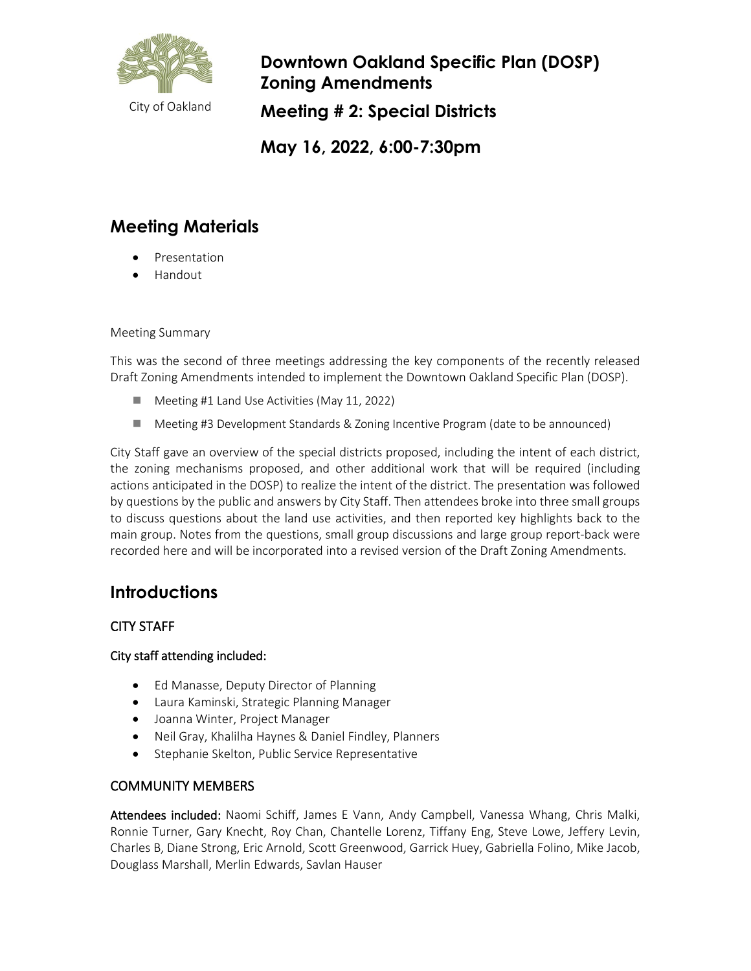

**Downtown Oakland Specific Plan (DOSP) Zoning Amendments Meeting # 2: Special Districts**

**May 16, 2022, 6:00-7:30pm**

# **Meeting Materials**

- **[Presentation](https://cao-94612.s3.amazonaws.com/documents/2022-05-11-DOSP-Zoning-Meeting-1-Presentation.pdf.pdf)**
- [Handout](https://cao-94612.s3.amazonaws.com/documents/2022-05-11-DOSP_ZoningMeeting1_Handout.pdf)

#### Meeting Summary

This was the second of three meetings addressing the key components of the recently released Draft Zoning Amendments intended to implement the Downtown Oakland Specific Plan (DOSP).

- Meeting #1 Land Use Activities (May 11, 2022)
- Meeting #3 Development Standards & Zoning Incentive Program (date to be announced)

City Staff gave an overview of the special districts proposed, including the intent of each district, the zoning mechanisms proposed, and other additional work that will be required (including actions anticipated in the DOSP) to realize the intent of the district. The presentation was followed by questions by the public and answers by City Staff. Then attendees broke into three small groups to discuss questions about the land use activities, and then reported key highlights back to the main group. Notes from the questions, small group discussions and large group report-back were recorded here and will be incorporated into a revised version of the Draft Zoning Amendments.

## **Introductions**

## CITY STAFF

#### City staff attending included:

- Ed Manasse, Deputy Director of Planning
- Laura Kaminski, Strategic Planning Manager
- Joanna Winter, Project Manager
- Neil Gray, Khalilha Haynes & Daniel Findley, Planners
- Stephanie Skelton, Public Service Representative

## COMMUNITY MEMBERS

Attendees included: Naomi Schiff, James E Vann, Andy Campbell, Vanessa Whang, Chris Malki, Ronnie Turner, Gary Knecht, Roy Chan, Chantelle Lorenz, Tiffany Eng, Steve Lowe, Jeffery Levin, Charles B, Diane Strong, Eric Arnold, Scott Greenwood, Garrick Huey, Gabriella Folino, Mike Jacob, Douglass Marshall, Merlin Edwards, Savlan Hauser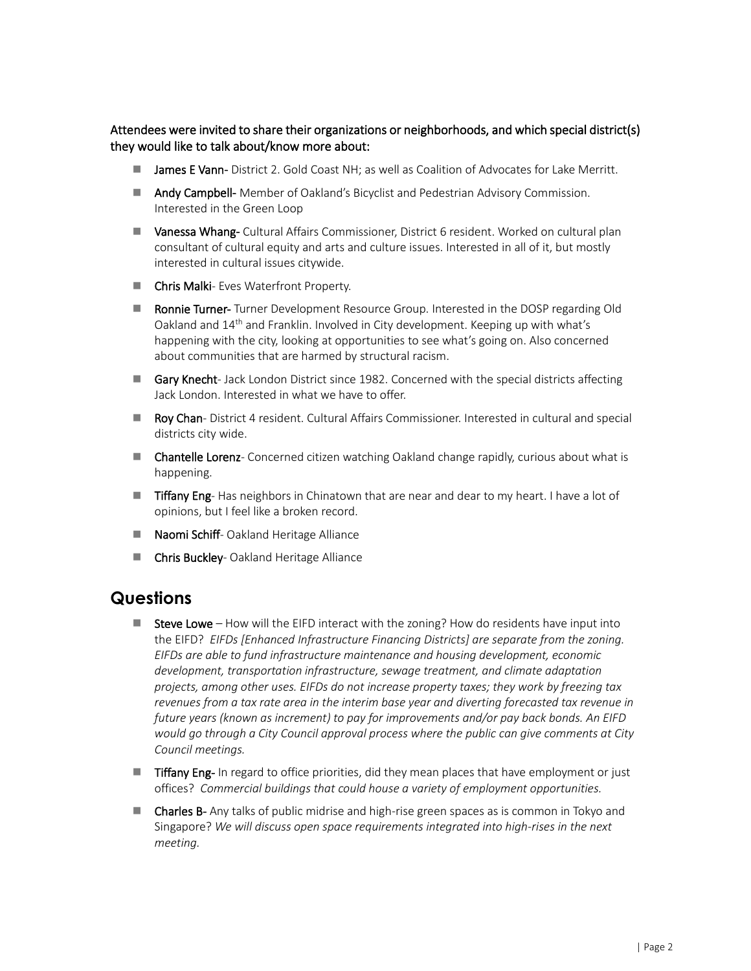Attendees were invited to share their organizations or neighborhoods, and which special district(s) they would like to talk about/know more about:

- **James E Vann-** District 2. Gold Coast NH; as well as Coalition of Advocates for Lake Merritt.
- **Andy Campbell-** Member of Oakland's Bicyclist and Pedestrian Advisory Commission. Interested in the Green Loop
- Vanessa Whang- Cultural Affairs Commissioner, District 6 resident. Worked on cultural plan consultant of cultural equity and arts and culture issues. Interested in all of it, but mostly interested in cultural issues citywide.
- **Chris Malki** Eves Waterfront Property.
- Ronnie Turner- Turner Development Resource Group. Interested in the DOSP regarding Old Oakland and 14th and Franklin. Involved in City development. Keeping up with what's happening with the city, looking at opportunities to see what's going on. Also concerned about communities that are harmed by structural racism.
- Gary Knecht- Jack London District since 1982. Concerned with the special districts affecting Jack London. Interested in what we have to offer.
- Roy Chan- District 4 resident. Cultural Affairs Commissioner. Interested in cultural and special districts city wide.
- **E** Chantelle Lorenz- Concerned citizen watching Oakland change rapidly, curious about what is happening.
- **Tiffany Eng-** Has neighbors in Chinatown that are near and dear to my heart. I have a lot of opinions, but I feel like a broken record.
- Naomi Schiff- Oakland Heritage Alliance
- **Chris Buckley-** Oakland Heritage Alliance

## **Questions**

- Steve Lowe How will the EIFD interact with the zoning? How do residents have input into the EIFD? *EIFDs [Enhanced Infrastructure Financing Districts] are separate from the zoning. EIFDs are able to fund infrastructure maintenance and housing development, economic development, transportation infrastructure, sewage treatment, and climate adaptation projects, among other uses. EIFDs do not increase property taxes; they work by freezing tax revenues from a tax rate area in the interim base year and diverting forecasted tax revenue in future years (known as increment) to pay for improvements and/or pay back bonds. An EIFD would go through a City Council approval process where the public can give comments at City Council meetings.*
- **Tiffany Eng-** In regard to office priorities, did they mean places that have employment or just offices? *Commercial buildings that could house a variety of employment opportunities.*
- **Charles B-** Any talks of public midrise and high-rise green spaces as is common in Tokyo and Singapore? *We will discuss open space requirements integrated into high-rises in the next meeting.*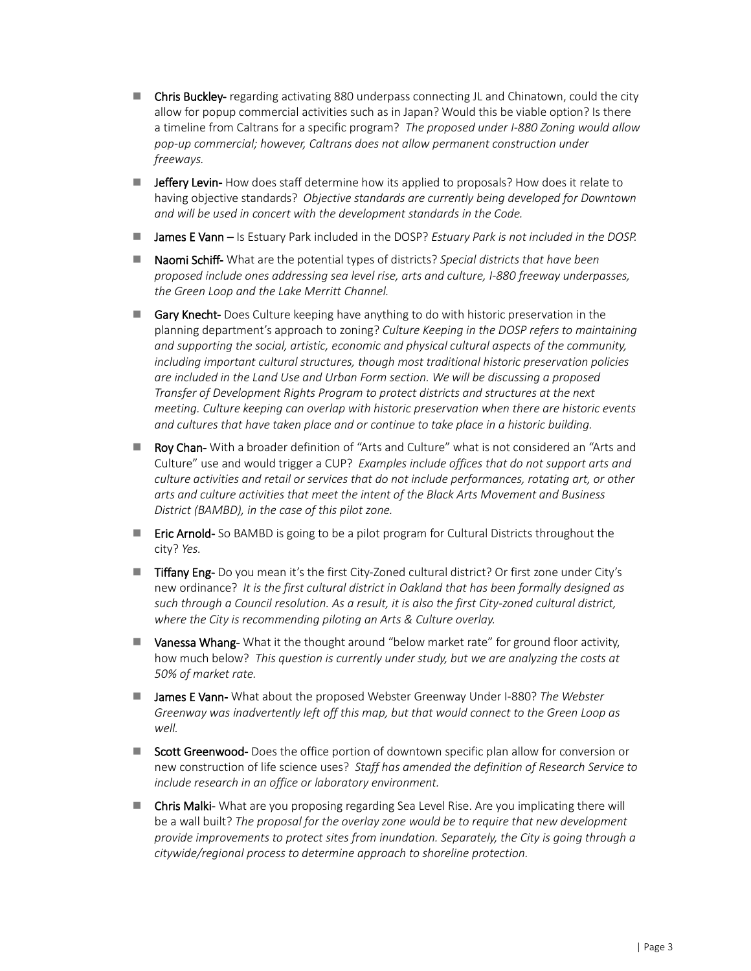- Chris Buckley- regarding activating 880 underpass connecting JL and Chinatown, could the city allow for popup commercial activities such as in Japan? Would this be viable option? Is there a timeline from Caltrans for a specific program? *The proposed under I-880 Zoning would allow pop-up commercial; however, Caltrans does not allow permanent construction under freeways.*
- **Jeffery Levin-** How does staff determine how its applied to proposals? How does it relate to having objective standards? *Objective standards are currently being developed for Downtown and will be used in concert with the development standards in the Code.*
- **James E Vann** Is Estuary Park included in the DOSP? *Estuary Park is not included in the DOSP*.
- **Naomi Schiff-** What are the potential types of districts? *Special districts that have been proposed include ones addressing sea level rise, arts and culture, I-880 freeway underpasses, the Green Loop and the Lake Merritt Channel.*
- Gary Knecht- Does Culture keeping have anything to do with historic preservation in the planning department's approach to zoning? *Culture Keeping in the DOSP refers to maintaining and supporting the social, artistic, economic and physical cultural aspects of the community, including important cultural structures, though most traditional historic preservation policies are included in the Land Use and Urban Form section. We will be discussing a proposed Transfer of Development Rights Program to protect districts and structures at the next meeting. Culture keeping can overlap with historic preservation when there are historic events and cultures that have taken place and or continue to take place in a historic building.*
- Roy Chan- With a broader definition of "Arts and Culture" what is not considered an "Arts and Culture" use and would trigger a CUP? *Examples include offices that do not support arts and culture activities and retail or services that do not include performances, rotating art, or other arts and culture activities that meet the intent of the Black Arts Movement and Business District (BAMBD), in the case of this pilot zone.*
- **Eric Arnold-** So BAMBD is going to be a pilot program for Cultural Districts throughout the city? *Yes.*
- Tiffany Eng- Do you mean it's the first City-Zoned cultural district? Or first zone under City's new ordinance? *It is the first cultural district in Oakland that has been formally designed as such through a Council resolution. As a result, it is also the first City-zoned cultural district, where the City is recommending piloting an Arts & Culture overlay.*
- **U** Vanessa Whang- What it the thought around "below market rate" for ground floor activity, how much below? *This question is currently under study, but we are analyzing the costs at 50% of market rate.*
- **James E Vann-** What about the proposed Webster Greenway Under I-880? *The Webster Greenway was inadvertently left off this map, but that would connect to the Green Loop as well.*
- Scott Greenwood- Does the office portion of downtown specific plan allow for conversion or new construction of life science uses? *Staff has amended the definition of Research Service to include research in an office or laboratory environment.*
- Chris Malki- What are you proposing regarding Sea Level Rise. Are you implicating there will be a wall built? *The proposal for the overlay zone would be to require that new development provide improvements to protect sites from inundation. Separately, the City is going through a citywide/regional process to determine approach to shoreline protection.*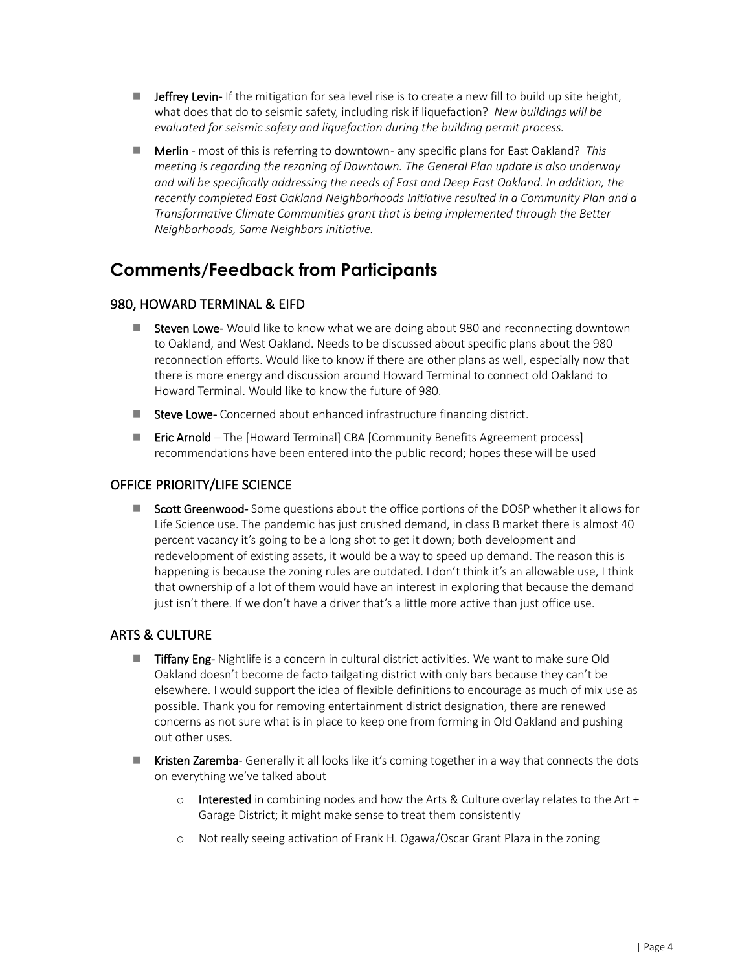- **Jeffrey Levin-** If the mitigation for sea level rise is to create a new fill to build up site height, what does that do to seismic safety, including risk if liquefaction? *New buildings will be evaluated for seismic safety and liquefaction during the building permit process.*
- **Merlin** most of this is referring to downtown any specific plans for East Oakland? *This meeting is regarding the rezoning of Downtown. The General Plan update is also underway and will be specifically addressing the needs of East and Deep East Oakland. In addition, the recently completed East Oakland Neighborhoods Initiative resulted in a Community Plan and a Transformative Climate Communities grant that is being implemented through the Better Neighborhoods, Same Neighbors initiative.*

# **Comments/Feedback from Participants**

## 980, HOWARD TERMINAL & EIFD

- Steven Lowe- Would like to know what we are doing about 980 and reconnecting downtown to Oakland, and West Oakland. Needs to be discussed about specific plans about the 980 reconnection efforts. Would like to know if there are other plans as well, especially now that there is more energy and discussion around Howard Terminal to connect old Oakland to Howard Terminal. Would like to know the future of 980.
- Steve Lowe- Concerned about enhanced infrastructure financing district.
- **Eric Arnold** The [Howard Terminal] CBA [Community Benefits Agreement process] recommendations have been entered into the public record; hopes these will be used

#### OFFICE PRIORITY/LIFE SCIENCE

Scott Greenwood- Some questions about the office portions of the DOSP whether it allows for Life Science use. The pandemic has just crushed demand, in class B market there is almost 40 percent vacancy it's going to be a long shot to get it down; both development and redevelopment of existing assets, it would be a way to speed up demand. The reason this is happening is because the zoning rules are outdated. I don't think it's an allowable use, I think that ownership of a lot of them would have an interest in exploring that because the demand just isn't there. If we don't have a driver that's a little more active than just office use.

## ARTS & CULTURE

- **Tiffany Eng-** Nightlife is a concern in cultural district activities. We want to make sure Old Oakland doesn't become de facto tailgating district with only bars because they can't be elsewhere. I would support the idea of flexible definitions to encourage as much of mix use as possible. Thank you for removing entertainment district designation, there are renewed concerns as not sure what is in place to keep one from forming in Old Oakland and pushing out other uses.
- **Kristen Zaremba** Generally it all looks like it's coming together in a way that connects the dots on everything we've talked about
	- $\circ$  Interested in combining nodes and how the Arts & Culture overlay relates to the Art + Garage District; it might make sense to treat them consistently
	- o Not really seeing activation of Frank H. Ogawa/Oscar Grant Plaza in the zoning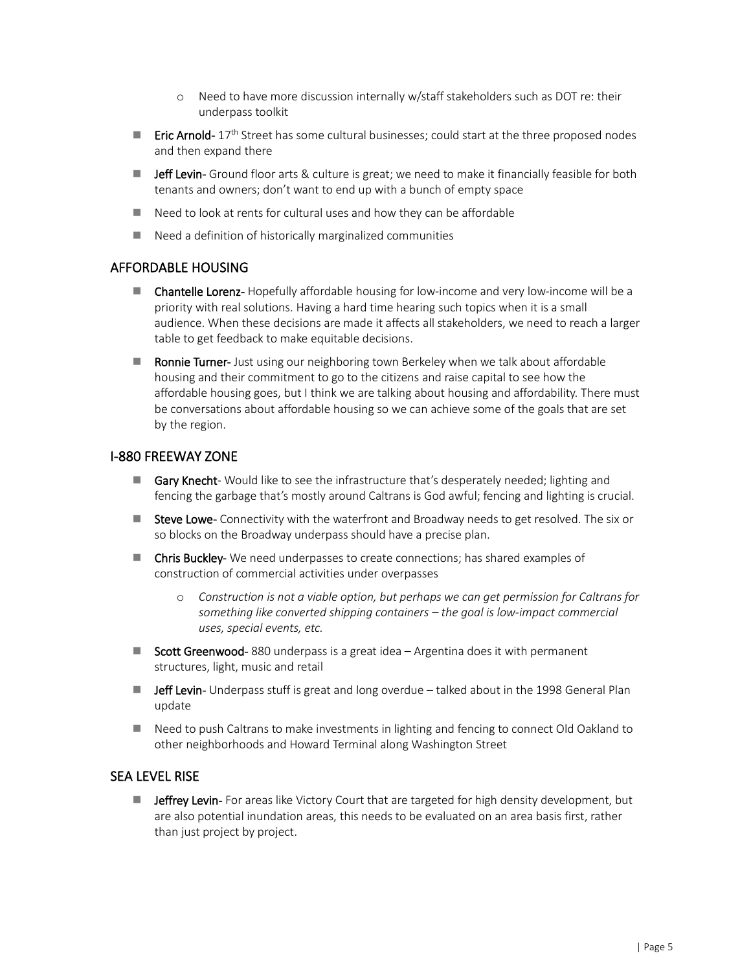- o Need to have more discussion internally w/staff stakeholders such as DOT re: their underpass toolkit
- **Eric Arnold-**  $17<sup>th</sup>$  Street has some cultural businesses; could start at the three proposed nodes and then expand there
- **Jeff Levin-** Ground floor arts & culture is great; we need to make it financially feasible for both tenants and owners; don't want to end up with a bunch of empty space
- $\blacksquare$  Need to look at rents for cultural uses and how they can be affordable
- $\blacksquare$  Need a definition of historically marginalized communities

#### AFFORDABLE HOUSING

- **Chantelle Lorenz-** Hopefully affordable housing for low-income and very low-income will be a priority with real solutions. Having a hard time hearing such topics when it is a small audience. When these decisions are made it affects all stakeholders, we need to reach a larger table to get feedback to make equitable decisions.
- **Ronnie Turner-** Just using our neighboring town Berkeley when we talk about affordable housing and their commitment to go to the citizens and raise capital to see how the affordable housing goes, but I think we are talking about housing and affordability. There must be conversations about affordable housing so we can achieve some of the goals that are set by the region.

#### I-880 FREEWAY ZONE

- Gary Knecht- Would like to see the infrastructure that's desperately needed; lighting and fencing the garbage that's mostly around Caltrans is God awful; fencing and lighting is crucial.
- Steve Lowe- Connectivity with the waterfront and Broadway needs to get resolved. The six or so blocks on the Broadway underpass should have a precise plan.
- **E** Chris Buckley- We need underpasses to create connections; has shared examples of construction of commercial activities under overpasses
	- o *Construction is not a viable option, but perhaps we can get permission for Caltrans for something like converted shipping containers – the goal is low-impact commercial uses, special events, etc.*
- Scott Greenwood- 880 underpass is a great idea Argentina does it with permanent structures, light, music and retail
- **Jeff Levin-** Underpass stuff is great and long overdue talked about in the 1998 General Plan update
- Need to push Caltrans to make investments in lighting and fencing to connect Old Oakland to other neighborhoods and Howard Terminal along Washington Street

#### SEA LEVEL RISE

**Jeffrey Levin-** For areas like Victory Court that are targeted for high density development, but are also potential inundation areas, this needs to be evaluated on an area basis first, rather than just project by project.